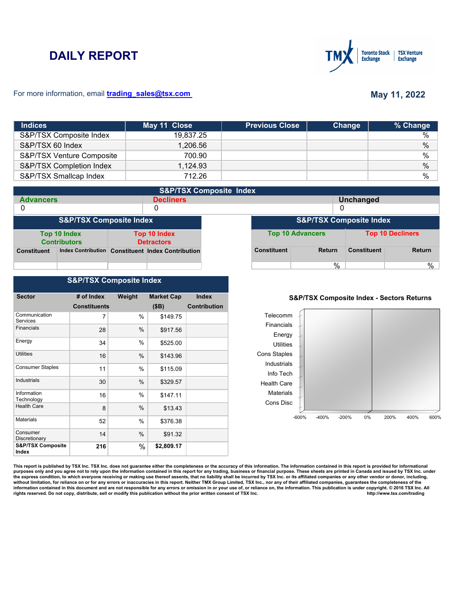# **DAILY REPORT**



#### For more information, email **trading\_sales@tsx.com**

# **May 11, 2022**

| <b>Indices</b>            | May 11 Close | <b>Previous Close</b> | Change | % Change      |
|---------------------------|--------------|-----------------------|--------|---------------|
| S&P/TSX Composite Index   | 19.837.25    |                       |        | $\%$          |
| S&P/TSX 60 Index          | 1,206.56     |                       |        | $\%$          |
| S&P/TSX Venture Composite | 700.90       |                       |        | $\frac{0}{0}$ |
| S&P/TSX Completion Index  | 1,124.93     |                       |        | $\frac{0}{0}$ |
| S&P/TSX Smallcap Index    | 712.26       |                       |        | %             |

|                    | <b>S&amp;P/TSX Composite Index</b>  |  |                                                   |  |                    |                                    |                    |                         |
|--------------------|-------------------------------------|--|---------------------------------------------------|--|--------------------|------------------------------------|--------------------|-------------------------|
| <b>Advancers</b>   |                                     |  | <b>Decliners</b>                                  |  |                    |                                    | <b>Unchanged</b>   |                         |
| 0                  |                                     |  | 0                                                 |  |                    | 0                                  |                    |                         |
|                    | <b>S&amp;P/TSX Composite Index</b>  |  |                                                   |  |                    | <b>S&amp;P/TSX Composite Index</b> |                    |                         |
|                    | Top 10 Index<br><b>Contributors</b> |  | <b>Top 10 Index</b><br><b>Detractors</b>          |  |                    | <b>Top 10 Advancers</b>            |                    | <b>Top 10 Decliners</b> |
| <b>Constituent</b> |                                     |  | Index Contribution Constituent Index Contribution |  | <b>Constituent</b> | <b>Return</b>                      | <b>Constituent</b> | Return                  |
|                    |                                     |  |                                                   |  |                    | $\%$                               |                    | %                       |

### **S&P/TSX Composite Index**

| <b>Sector</b>                         | # of Index          | Weight        | <b>Market Cap</b> | <b>Index</b>        |
|---------------------------------------|---------------------|---------------|-------------------|---------------------|
|                                       | <b>Constituents</b> |               | (SB)              | <b>Contribution</b> |
| Communication<br><b>Services</b>      | 7                   | $\%$          | \$149.75          |                     |
| Financials                            | 28                  | %             | \$917.56          |                     |
| Energy                                | 34                  | $\%$          | \$525.00          |                     |
| Utilities                             | 16                  | %             | \$143.96          |                     |
| <b>Consumer Staples</b>               | 11                  | %             | \$115.09          |                     |
| Industrials                           | 30                  | %             | \$329.57          |                     |
| Information<br>Technology             | 16                  | $\%$          | \$147.11          |                     |
| <b>Health Care</b>                    | 8                   | $\frac{0}{0}$ | \$13.43           |                     |
| <b>Materials</b>                      | 52                  | $\%$          | \$376.38          |                     |
| Consumer<br>Discretionary             | 14                  | %             | \$91.32           |                     |
| <b>S&amp;P/TSX Composite</b><br>Index | 216                 | $\%$          | \$2,809.17        |                     |

#### **S&P/TSX Composite Index - Sectors Returns**



This report is published by TSX Inc. TSX Inc. does not guarantee either the completeness or the accuracy of this information. The information contained in this report is provided for informational **purposes only and you agree not to rely upon the information contained in this report for any trading, business or financial purpose. These sheets are printed in Canada and issued by TSX Inc. under**  the express condition, to which everyone receiving or making use thereof assents, that no liability shall be incurred by TSX Inc. or its affiliated companies or any other vendor or donor, including,<br>without limitation, for information contained in this document and are not responsible for any errors or omission in or your use of, or reliance on, the information. This publication is under copyright. © 2016 TSX Inc. All <br>
rights reserved. Do n rights reserved. Do not copy, distribute, sell or modify this publication without the prior written consent of TSX Inc.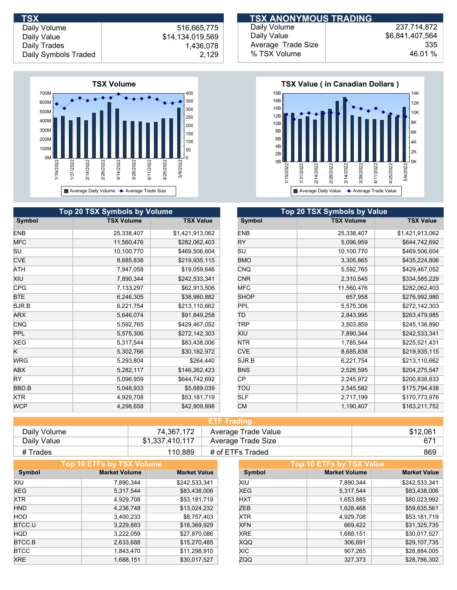Daily Volume Daily Value Daily Trades

## 516,665,775 \$14,134,019,569 1,436,078 Daily Symbols Traded 2,129



|               | <b>Top 20 TSX Symbols by Volume</b> |                  |               | Top 20 TSX Symbols by Value |
|---------------|-------------------------------------|------------------|---------------|-----------------------------|
| <b>Symbol</b> | <b>TSX Volume</b>                   | <b>TSX Value</b> | <b>Symbol</b> | <b>TSX Volume</b>           |
| <b>ENB</b>    | 25,338,407                          | \$1,421,913,062  | <b>ENB</b>    | 25,338,407                  |
| <b>MFC</b>    | 11,560,476                          | \$282,062,403    | <b>RY</b>     | 5,096,959                   |
| SU            | 10,100,770                          | \$469,506,604    | SU            | 10,100,770                  |
| <b>CVE</b>    | 8,685,838                           | \$219,935,115    | <b>BMO</b>    | 3,305,865                   |
| ATH           | 7,947,058                           | \$19,059,646     | <b>CNQ</b>    | 5,592,765                   |
| XIU           | 7,890,344                           | \$242,533,341    | <b>CNR</b>    | 2,310,545                   |
| <b>CPG</b>    | 7,133,297                           | \$62,913,506     | <b>MFC</b>    | 11,560,476                  |
| <b>BTE</b>    | 6,246,305                           | \$38,980,882     | <b>SHOP</b>   | 657,958                     |
| SJR.B         | 6,221,754                           | \$213,110,662    | <b>PPL</b>    | 5,575,306                   |
| ARX           | 5,646,074                           | \$91,849,258     | ΤD            | 2,843,995                   |
| CNQ           | 5,592,765                           | \$429,467,052    | TRP           | 3,503,859                   |
| <b>PPL</b>    | 5,575,306                           | \$272,142,303    | XIU           | 7,890,344                   |
| XEG           | 5,317,544                           | \$83,438,006     | NTR.          | 1,785,544                   |
| ĸ             | 5,302,766                           | \$30,182,972     | <b>CVE</b>    | 8,685,838                   |
| <b>WRG</b>    | 5,293,804                           | \$264,440        | SJR.B         | 6,221,754                   |
| ABX           | 5,282,117                           | \$146,262,423    | <b>BNS</b>    | 2,526,595                   |
| RY.           | 5,096,959                           | \$644,742,692    | <b>CP</b>     | 2,245,972                   |
| BBD.B         | 5,048,933                           | \$5,689,039      | TOU           | 2,545,582                   |
| <b>XTR</b>    | 4,929,708                           | \$53,181,719     | <b>SLF</b>    | 2,717,199                   |
| <b>WCP</b>    | 4,298,658                           | \$42,909,898     | <b>CM</b>     | 1,190,407                   |

#### Daily Volume Daily Value Average Trade Size % TSX Volume 237,714,872 \$6,841,407,564 46.01 %  **TSX TSX ANONYMOUS TRADING**

335



| <b>Top 20 TSX Symbols by Value</b> |                   |                  |  |
|------------------------------------|-------------------|------------------|--|
| Symbol                             | <b>TSX Volume</b> | <b>TSX Value</b> |  |
| <b>ENB</b>                         | 25,338,407        | \$1,421,913,062  |  |
| RY                                 | 5,096,959         | \$644,742,692    |  |
| SU                                 | 10,100,770        | \$469,506,604    |  |
| <b>BMO</b>                         | 3,305,865         | \$435,224,806    |  |
| <b>CNQ</b>                         | 5,592,765         | \$429,467,052    |  |
| <b>CNR</b>                         | 2,310,545         | \$334,585,229    |  |
| <b>MFC</b>                         | 11,560,476        | \$282,062,403    |  |
| <b>SHOP</b>                        | 657,958           | \$276,992,980    |  |
| PPL                                | 5,575,306         | \$272,142,303    |  |
| ΤD                                 | 2,843,995         | \$263,479,985    |  |
| TRP                                | 3,503,859         | \$245,136,890    |  |
| XIU                                | 7,890,344         | \$242,533,341    |  |
| NTR                                | 1,785,544         | \$225,521,431    |  |
| <b>CVE</b>                         | 8,685,838         | \$219,935,115    |  |
| SJR.B                              | 6,221,754         | \$213,110,662    |  |
| <b>BNS</b>                         | 2,526,595         | \$204,275,547    |  |
| СP                                 | 2,245,972         | \$200,838,833    |  |
| ΤΟυ                                | 2,545,582         | \$175,794,438    |  |
| SLF                                | 2,717,199         | \$170,773,976    |  |
| <b>CM</b>                          | 1,190,407         | \$163,211,752    |  |

| <b>ETF Trading</b> |                 |                     |          |  |
|--------------------|-----------------|---------------------|----------|--|
| Daily Volume       | 74.367.172      | Average Trade Value | \$12,061 |  |
| Daily Value        | \$1,337,410,117 | Average Trade Size  | -671     |  |
| # Trades           | 110.889         | # of ETFs Traded    | 869      |  |

|             | Top 10 ETFs by TSX Volume |                     |            | Top 10 ETFs by TSX Value |                     |
|-------------|---------------------------|---------------------|------------|--------------------------|---------------------|
| Symbol      | <b>Market Volume</b>      | <b>Market Value</b> | Symbol     | <b>Market Volume</b>     | <b>Market Value</b> |
| XIU         | 7.890.344                 | \$242,533,341       | XIU        | 7.890.344                | \$242,533,341       |
| <b>XEG</b>  | 5,317,544                 | \$83,438,006        | <b>XEG</b> | 5,317,544                | \$83,438,006        |
| <b>XTR</b>  | 4,929,708                 | \$53,181,719        | <b>HXT</b> | 1,653,885                | \$80,023,992        |
| <b>HND</b>  | 4,236,748                 | \$13,024,232        | ZEB        | 1,628,468                | \$59,635,561        |
| <b>HOD</b>  | 3,400,233                 | \$8,757,403         | <b>XTR</b> | 4,929,708                | \$53,181,719        |
| BTCC.U      | 3,229,883                 | \$18,369,929        | <b>XFN</b> | 669,422                  | \$31,325,735        |
| <b>HQD</b>  | 3,222,059                 | \$27,870,086        | <b>XRE</b> | 1,688,151                | \$30,017,527        |
| BTCC.B      | 2,633,688                 | \$15,270,485        | <b>XQQ</b> | 306,691                  | \$29,107,735        |
| <b>BTCC</b> | 1,843,470                 | \$11,298,910        | XIC.       | 907.265                  | \$28,884,005        |
| <b>XRE</b>  | 1,688,151                 | \$30,017,527        | ZQQ        | 327.373                  | \$28,786,302        |